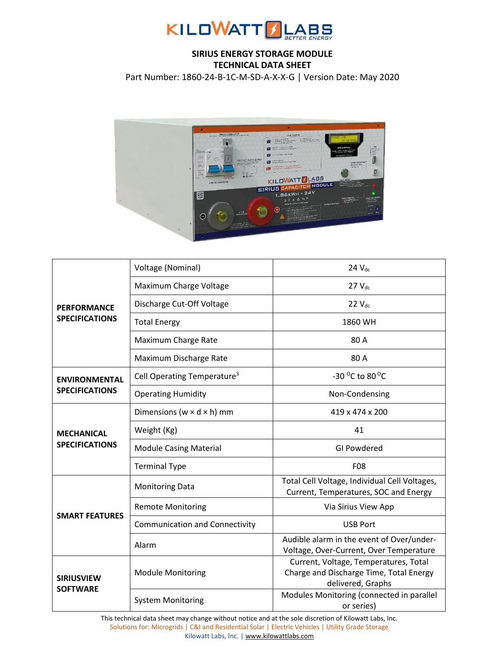

## **SIRIUS ENERGY STORAGE MODULE TECHNICAL DATA SHEET**

Part Number: 1860-24-B-1C-M-SD-A-X-X-G | Version Date: May 2020



| <b>PERFORMANCE</b><br><b>SPECIFICATIONS</b>   | Voltage (Nominal)                       | $24$ $V_{dc}$                                                                                         |
|-----------------------------------------------|-----------------------------------------|-------------------------------------------------------------------------------------------------------|
|                                               | Maximum Charge Voltage                  | $27V_{dc}$                                                                                            |
|                                               | Discharge Cut-Off Voltage               | $22$ $V_{dc}$                                                                                         |
|                                               | <b>Total Energy</b>                     | 1860 WH                                                                                               |
|                                               | Maximum Charge Rate                     | 80 A                                                                                                  |
|                                               | Maximum Discharge Rate                  | 80A                                                                                                   |
| <b>ENVIRONMENTAL</b><br><b>SPECIFICATIONS</b> | Cell Operating Temperature <sup>3</sup> | -30 °C to 80 °C                                                                                       |
|                                               | <b>Operating Humidity</b>               | Non-Condensing                                                                                        |
| <b>MECHANICAL</b><br><b>SPECIFICATIONS</b>    | Dimensions ( $w \times d \times h$ ) mm | 419 x 474 x 200                                                                                       |
|                                               | Weight (Kg)                             | 41                                                                                                    |
|                                               | <b>Module Casing Material</b>           | <b>GI Powdered</b>                                                                                    |
|                                               | <b>Terminal Type</b>                    | F08                                                                                                   |
| <b>SMART FEATURES</b>                         | <b>Monitoring Data</b>                  | Total Cell Voltage, Individual Cell Voltages,<br>Current, Temperatures, SOC and Energy                |
|                                               | <b>Remote Monitoring</b>                | Via Sirius View App                                                                                   |
|                                               | <b>Communication and Connectivity</b>   | <b>USB Port</b>                                                                                       |
|                                               | Alarm                                   | Audible alarm in the event of Over/under-<br>Voltage, Over-Current, Over Temperature                  |
| <b>SIRIUSVIEW</b><br><b>SOFTWARE</b>          | <b>Module Monitoring</b>                | Current, Voltage, Temperatures, Total<br>Charge and Discharge Time, Total Energy<br>delivered, Graphs |
|                                               | <b>System Monitoring</b>                | Modules Monitoring (connected in parallel<br>or series)                                               |

This technical data sheet may change without notice and at the sole discretion of Kilowatt Labs, Inc. Solutions for: Microgrids | C&I and Residential Solar | Electric Vehicles | Utility Grade Storage Kilowatt Labs, Inc. [| www.kilowattlabs.com](http://www.kilowattlabs.com/)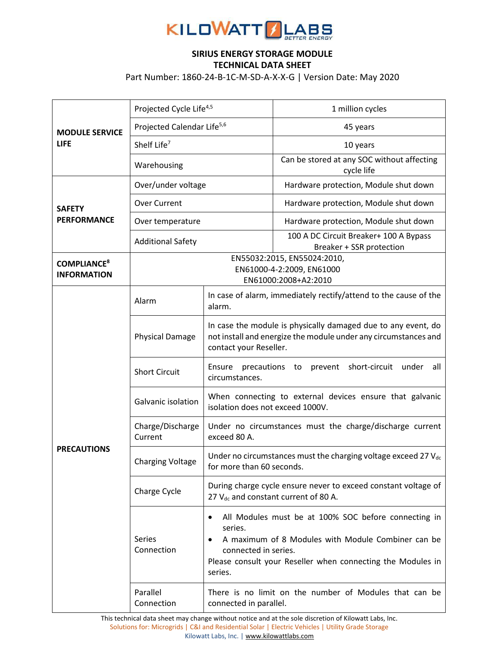

## **SIRIUS ENERGY STORAGE MODULE TECHNICAL DATA SHEET**

Part Number: 1860-24-B-1C-M-SD-A-X-X-G | Version Date: May 2020

| <b>MODULE SERVICE</b><br><b>LIFE</b>                | Projected Cycle Life <sup>4,5</sup>                                              |                                                                                                                                                                                                                         | 1 million cycles                                                   |
|-----------------------------------------------------|----------------------------------------------------------------------------------|-------------------------------------------------------------------------------------------------------------------------------------------------------------------------------------------------------------------------|--------------------------------------------------------------------|
|                                                     | Projected Calendar Life <sup>5,6</sup>                                           |                                                                                                                                                                                                                         | 45 years                                                           |
|                                                     | Shelf Life <sup>7</sup>                                                          |                                                                                                                                                                                                                         | 10 years                                                           |
|                                                     | Warehousing                                                                      |                                                                                                                                                                                                                         | Can be stored at any SOC without affecting<br>cycle life           |
| <b>SAFETY</b><br><b>PERFORMANCE</b>                 | Over/under voltage                                                               |                                                                                                                                                                                                                         | Hardware protection, Module shut down                              |
|                                                     | <b>Over Current</b>                                                              |                                                                                                                                                                                                                         | Hardware protection, Module shut down                              |
|                                                     | Over temperature                                                                 |                                                                                                                                                                                                                         | Hardware protection, Module shut down                              |
|                                                     | <b>Additional Safety</b>                                                         |                                                                                                                                                                                                                         | 100 A DC Circuit Breaker+ 100 A Bypass<br>Breaker + SSR protection |
| <b>COMPLIANCE<sup>8</sup></b><br><b>INFORMATION</b> | EN55032:2015, EN55024:2010,<br>EN61000-4-2:2009, EN61000<br>EN61000:2008+A2:2010 |                                                                                                                                                                                                                         |                                                                    |
| <b>PRECAUTIONS</b>                                  | Alarm                                                                            | alarm.                                                                                                                                                                                                                  | In case of alarm, immediately rectify/attend to the cause of the   |
|                                                     | <b>Physical Damage</b>                                                           | In case the module is physically damaged due to any event, do<br>not install and energize the module under any circumstances and<br>contact your Reseller.                                                              |                                                                    |
|                                                     | <b>Short Circuit</b>                                                             | short-circuit under<br>Ensure<br>precautions<br>prevent<br>all<br>to<br>circumstances.                                                                                                                                  |                                                                    |
|                                                     | Galvanic isolation                                                               | When connecting to external devices ensure that galvanic<br>isolation does not exceed 1000V.                                                                                                                            |                                                                    |
|                                                     | Charge/Discharge<br>Current                                                      | Under no circumstances must the charge/discharge current<br>exceed 80 A.                                                                                                                                                |                                                                    |
|                                                     | <b>Charging Voltage</b>                                                          | Under no circumstances must the charging voltage exceed 27 V <sub>dc</sub><br>for more than 60 seconds.                                                                                                                 |                                                                    |
|                                                     | Charge Cycle                                                                     | During charge cycle ensure never to exceed constant voltage of<br>27 V <sub>dc</sub> and constant current of 80 A.                                                                                                      |                                                                    |
|                                                     | <b>Series</b><br>Connection                                                      | All Modules must be at 100% SOC before connecting in<br>series.<br>A maximum of 8 Modules with Module Combiner can be<br>connected in series.<br>Please consult your Reseller when connecting the Modules in<br>series. |                                                                    |
|                                                     | Parallel<br>Connection                                                           | There is no limit on the number of Modules that can be<br>connected in parallel.                                                                                                                                        |                                                                    |

This technical data sheet may change without notice and at the sole discretion of Kilowatt Labs, Inc. Solutions for: Microgrids | C&I and Residential Solar | Electric Vehicles | Utility Grade Storage Kilowatt Labs, Inc. [| www.kilowattlabs.com](http://www.kilowattlabs.com/)